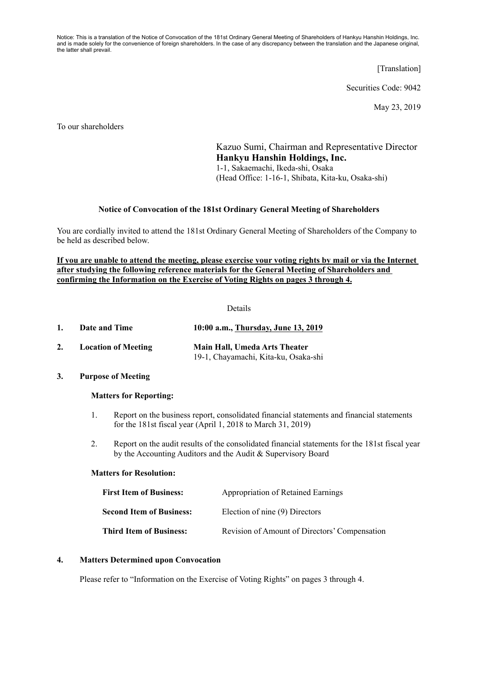Notice: This is a translation of the Notice of Convocation of the 181st Ordinary General Meeting of Shareholders of Hankyu Hanshin Holdings, Inc. and is made solely for the convenience of foreign shareholders. In the case of any discrepancy between the translation and the Japanese original, the latter shall prevail.

[Translation]

Securities Code: 9042

May 23, 2019

To our shareholders

Kazuo Sumi, Chairman and Representative Director **Hankyu Hanshin Holdings, Inc.**  1-1, Sakaemachi, Ikeda-shi, Osaka (Head Office: 1-16-1, Shibata, Kita-ku, Osaka-shi)

## **Notice of Convocation of the 181st Ordinary General Meeting of Shareholders**

You are cordially invited to attend the 181st Ordinary General Meeting of Shareholders of the Company to be held as described below.

## **If you are unable to attend the meeting, please exercise your voting rights by mail or via the Internet after studying the following reference materials for the General Meeting of Shareholders and confirming the Information on the Exercise of Voting Rights on pages 3 through 4.**

Details

| Date and Time | 10:00 a.m., Thursday, June 13, 2019 |
|---------------|-------------------------------------|
|               |                                     |

**2. Location of Meeting Main Hall, Umeda Arts Theater**  19-1, Chayamachi, Kita-ku, Osaka-shi

## **3. Purpose of Meeting**

## **Matters for Reporting:**

- 1. Report on the business report, consolidated financial statements and financial statements for the 181st fiscal year (April 1, 2018 to March 31, 2019)
- 2. Report on the audit results of the consolidated financial statements for the 181st fiscal year by the Accounting Auditors and the Audit & Supervisory Board

## **Matters for Resolution:**

| <b>First Item of Business:</b>  | Appropriation of Retained Earnings            |
|---------------------------------|-----------------------------------------------|
| <b>Second Item of Business:</b> | Election of nine (9) Directors                |
| <b>Third Item of Business:</b>  | Revision of Amount of Directors' Compensation |

## **4. Matters Determined upon Convocation**

Please refer to "Information on the Exercise of Voting Rights" on pages 3 through 4.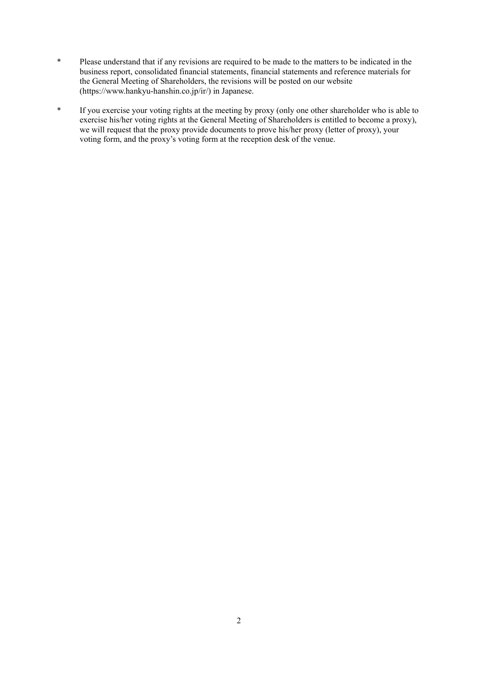- \* Please understand that if any revisions are required to be made to the matters to be indicated in the business report, consolidated financial statements, financial statements and reference materials for the General Meeting of Shareholders, the revisions will be posted on our website (https://www.hankyu-hanshin.co.jp/ir/) in Japanese.
- \* If you exercise your voting rights at the meeting by proxy (only one other shareholder who is able to exercise his/her voting rights at the General Meeting of Shareholders is entitled to become a proxy), we will request that the proxy provide documents to prove his/her proxy (letter of proxy), your voting form, and the proxy's voting form at the reception desk of the venue.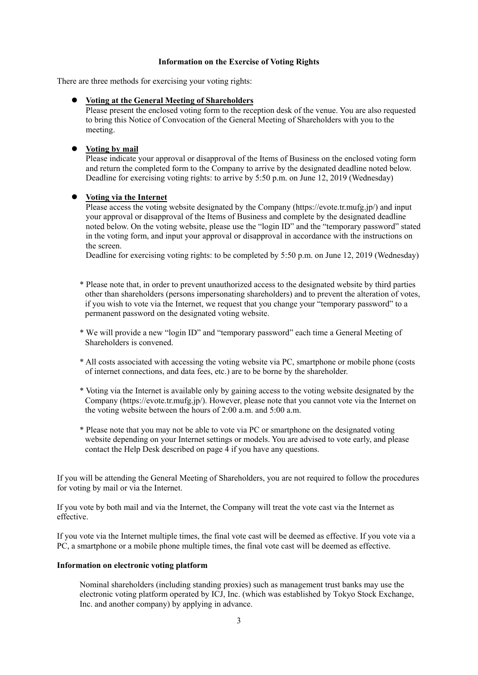## **Information on the Exercise of Voting Rights**

There are three methods for exercising your voting rights:

## **Voting at the General Meeting of Shareholders**

Please present the enclosed voting form to the reception desk of the venue. You are also requested to bring this Notice of Convocation of the General Meeting of Shareholders with you to the meeting.

## **Voting by mail**

Please indicate your approval or disapproval of the Items of Business on the enclosed voting form and return the completed form to the Company to arrive by the designated deadline noted below. Deadline for exercising voting rights: to arrive by 5:50 p.m. on June 12, 2019 (Wednesday)

# **Voting via the Internet**

Please access the voting website designated by the Company (https://evote.tr.mufg.jp/) and input your approval or disapproval of the Items of Business and complete by the designated deadline noted below. On the voting website, please use the "login ID" and the "temporary password" stated in the voting form, and input your approval or disapproval in accordance with the instructions on the screen.

Deadline for exercising voting rights: to be completed by 5:50 p.m. on June 12, 2019 (Wednesday)

- \* Please note that, in order to prevent unauthorized access to the designated website by third parties other than shareholders (persons impersonating shareholders) and to prevent the alteration of votes, if you wish to vote via the Internet, we request that you change your "temporary password" to a permanent password on the designated voting website.
- \* We will provide a new "login ID" and "temporary password" each time a General Meeting of Shareholders is convened.
- \* All costs associated with accessing the voting website via PC, smartphone or mobile phone (costs of internet connections, and data fees, etc.) are to be borne by the shareholder.
- \* Voting via the Internet is available only by gaining access to the voting website designated by the Company (https://evote.tr.mufg.jp/). However, please note that you cannot vote via the Internet on the voting website between the hours of 2:00 a.m. and 5:00 a.m.
- \* Please note that you may not be able to vote via PC or smartphone on the designated voting website depending on your Internet settings or models. You are advised to vote early, and please contact the Help Desk described on page 4 if you have any questions.

If you will be attending the General Meeting of Shareholders, you are not required to follow the procedures for voting by mail or via the Internet.

If you vote by both mail and via the Internet, the Company will treat the vote cast via the Internet as effective.

If you vote via the Internet multiple times, the final vote cast will be deemed as effective. If you vote via a PC, a smartphone or a mobile phone multiple times, the final vote cast will be deemed as effective.

## **Information on electronic voting platform**

 Nominal shareholders (including standing proxies) such as management trust banks may use the electronic voting platform operated by ICJ, Inc. (which was established by Tokyo Stock Exchange, Inc. and another company) by applying in advance.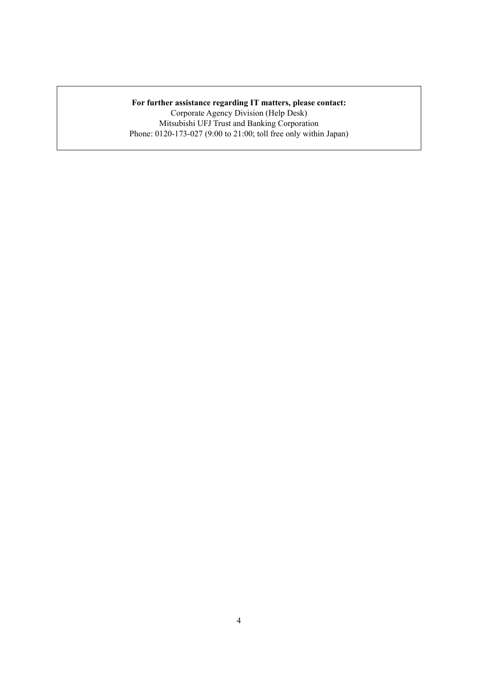## **For further assistance regarding IT matters, please contact:**

Corporate Agency Division (Help Desk) Mitsubishi UFJ Trust and Banking Corporation Phone: 0120-173-027 (9:00 to 21:00; toll free only within Japan)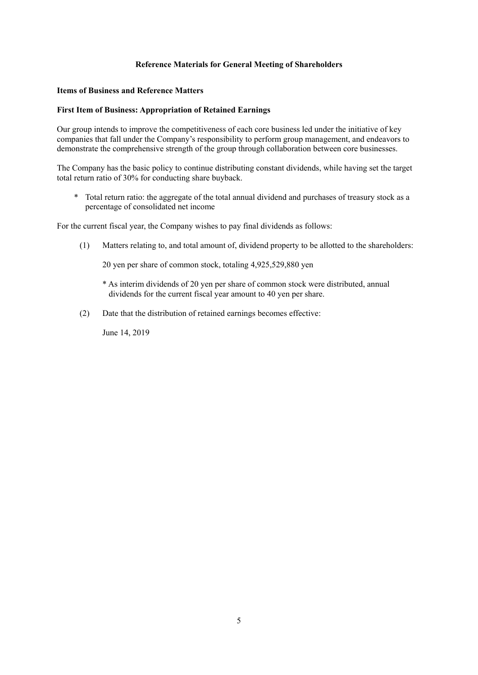## **Reference Materials for General Meeting of Shareholders**

#### **Items of Business and Reference Matters**

#### **First Item of Business: Appropriation of Retained Earnings**

Our group intends to improve the competitiveness of each core business led under the initiative of key companies that fall under the Company's responsibility to perform group management, and endeavors to demonstrate the comprehensive strength of the group through collaboration between core businesses.

The Company has the basic policy to continue distributing constant dividends, while having set the target total return ratio of 30% for conducting share buyback.

\* Total return ratio: the aggregate of the total annual dividend and purchases of treasury stock as a percentage of consolidated net income

For the current fiscal year, the Company wishes to pay final dividends as follows:

(1) Matters relating to, and total amount of, dividend property to be allotted to the shareholders:

20 yen per share of common stock, totaling 4,925,529,880 yen

- \* As interim dividends of 20 yen per share of common stock were distributed, annual dividends for the current fiscal year amount to 40 yen per share.
- (2) Date that the distribution of retained earnings becomes effective:

June 14, 2019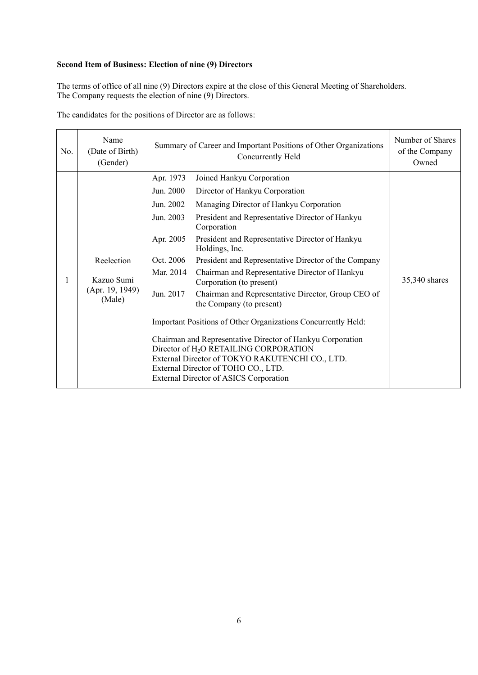# **Second Item of Business: Election of nine (9) Directors**

The terms of office of all nine (9) Directors expire at the close of this General Meeting of Shareholders. The Company requests the election of nine (9) Directors.

The candidates for the positions of Director are as follows:

| No. | Name<br>(Date of Birth)<br>(Gender)                   | Summary of Career and Important Positions of Other Organizations<br>Concurrently Held                                                                                                                                                                                                                                                                                                                                                                                                                                                                                                                                                                                                                                                                                                                                                                                                                  | Number of Shares<br>of the Company<br>Owned |
|-----|-------------------------------------------------------|--------------------------------------------------------------------------------------------------------------------------------------------------------------------------------------------------------------------------------------------------------------------------------------------------------------------------------------------------------------------------------------------------------------------------------------------------------------------------------------------------------------------------------------------------------------------------------------------------------------------------------------------------------------------------------------------------------------------------------------------------------------------------------------------------------------------------------------------------------------------------------------------------------|---------------------------------------------|
| 1   | Reelection<br>Kazuo Sumi<br>(Apr. 19, 1949)<br>(Male) | Apr. 1973<br>Joined Hankyu Corporation<br>Jun. 2000<br>Director of Hankyu Corporation<br>Jun. 2002<br>Managing Director of Hankyu Corporation<br>Jun. 2003<br>President and Representative Director of Hankyu<br>Corporation<br>Apr. 2005<br>President and Representative Director of Hankyu<br>Holdings, Inc.<br>Oct. 2006<br>President and Representative Director of the Company<br>Chairman and Representative Director of Hankyu<br>Mar. 2014<br>Corporation (to present)<br>Jun. 2017<br>Chairman and Representative Director, Group CEO of<br>the Company (to present)<br>Important Positions of Other Organizations Concurrently Held:<br>Chairman and Representative Director of Hankyu Corporation<br>Director of H <sub>2</sub> O RETAILING CORPORATION<br>External Director of TOKYO RAKUTENCHI CO., LTD.<br>External Director of TOHO CO., LTD.<br>External Director of ASICS Corporation | 35,340 shares                               |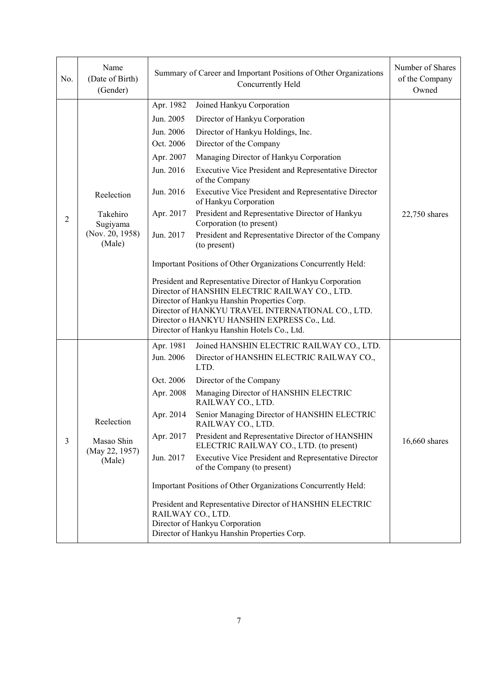| No. | Name<br>(Date of Birth)<br>(Gender)                             | Summary of Career and Important Positions of Other Organizations<br>Concurrently Held                                                                                                                                                                                                                                                                                                                                                                                                                                                                                                                                                                                                                                                                                                                                                                                                                                                                                                                    | Number of Shares<br>of the Company<br>Owned |
|-----|-----------------------------------------------------------------|----------------------------------------------------------------------------------------------------------------------------------------------------------------------------------------------------------------------------------------------------------------------------------------------------------------------------------------------------------------------------------------------------------------------------------------------------------------------------------------------------------------------------------------------------------------------------------------------------------------------------------------------------------------------------------------------------------------------------------------------------------------------------------------------------------------------------------------------------------------------------------------------------------------------------------------------------------------------------------------------------------|---------------------------------------------|
| 2   | Reelection<br>Takehiro<br>Sugiyama<br>(Nov. 20, 1958)<br>(Male) | Apr. 1982<br>Joined Hankyu Corporation<br>Jun. 2005<br>Director of Hankyu Corporation<br>Jun. 2006<br>Director of Hankyu Holdings, Inc.<br>Oct. 2006<br>Director of the Company<br>Managing Director of Hankyu Corporation<br>Apr. 2007<br>Jun. 2016<br><b>Executive Vice President and Representative Director</b><br>of the Company<br>Jun. 2016<br>Executive Vice President and Representative Director<br>of Hankyu Corporation<br>President and Representative Director of Hankyu<br>Apr. 2017<br>Corporation (to present)<br>Jun. 2017<br>President and Representative Director of the Company<br>(to present)<br>Important Positions of Other Organizations Concurrently Held:<br>President and Representative Director of Hankyu Corporation<br>Director of HANSHIN ELECTRIC RAILWAY CO., LTD.<br>Director of Hankyu Hanshin Properties Corp.<br>Director of HANKYU TRAVEL INTERNATIONAL CO., LTD.<br>Director o HANKYU HANSHIN EXPRESS Co., Ltd.<br>Director of Hankyu Hanshin Hotels Co., Ltd. | 22,750 shares                               |
| 3   | Reelection<br>Masao Shin<br>(May 22, 1957)<br>(Male)            | Joined HANSHIN ELECTRIC RAILWAY CO., LTD.<br>Apr. 1981<br>Jun. 2006<br>Director of HANSHIN ELECTRIC RAILWAY CO.,<br>LTD.<br>Oct. 2006<br>Director of the Company<br>Managing Director of HANSHIN ELECTRIC<br>Apr. 2008<br>RAILWAY CO., LTD.<br>Senior Managing Director of HANSHIN ELECTRIC<br>Apr. 2014<br>RAILWAY CO., LTD.<br>Apr. 2017<br>President and Representative Director of HANSHIN<br>ELECTRIC RAILWAY CO., LTD. (to present)<br>Jun. 2017<br><b>Executive Vice President and Representative Director</b><br>of the Company (to present)<br>Important Positions of Other Organizations Concurrently Held:<br>President and Representative Director of HANSHIN ELECTRIC<br>RAILWAY CO., LTD.<br>Director of Hankyu Corporation<br>Director of Hankyu Hanshin Properties Corp.                                                                                                                                                                                                                 | 16,660 shares                               |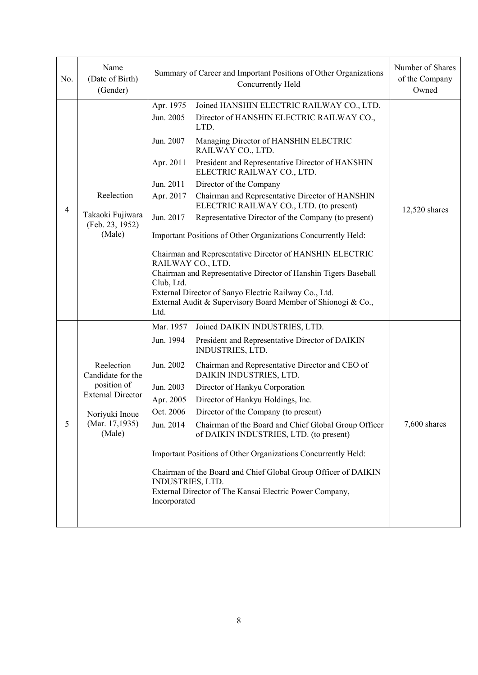| No. | Name<br>(Date of Birth)<br>(Gender)                                                                                      | Summary of Career and Important Positions of Other Organizations<br>Concurrently Held                                                                                                                                                                                                                                                                                                                                                                                                                                                                                                                                                                                                                                                                                                                                                                                                         | Number of Shares<br>of the Company<br>Owned |
|-----|--------------------------------------------------------------------------------------------------------------------------|-----------------------------------------------------------------------------------------------------------------------------------------------------------------------------------------------------------------------------------------------------------------------------------------------------------------------------------------------------------------------------------------------------------------------------------------------------------------------------------------------------------------------------------------------------------------------------------------------------------------------------------------------------------------------------------------------------------------------------------------------------------------------------------------------------------------------------------------------------------------------------------------------|---------------------------------------------|
| 4   | Reelection<br>Takaoki Fujiwara<br>(Feb. 23, 1952)<br>(Male)                                                              | Apr. 1975<br>Joined HANSHIN ELECTRIC RAILWAY CO., LTD.<br>Jun. 2005<br>Director of HANSHIN ELECTRIC RAILWAY CO.,<br>LTD.<br>Managing Director of HANSHIN ELECTRIC<br>Jun. 2007<br>RAILWAY CO., LTD.<br>President and Representative Director of HANSHIN<br>Apr. 2011<br>ELECTRIC RAILWAY CO., LTD.<br>Jun. 2011<br>Director of the Company<br>Apr. 2017<br>Chairman and Representative Director of HANSHIN<br>ELECTRIC RAILWAY CO., LTD. (to present)<br>Representative Director of the Company (to present)<br>Jun. 2017<br>Important Positions of Other Organizations Concurrently Held:<br>Chairman and Representative Director of HANSHIN ELECTRIC<br>RAILWAY CO., LTD.<br>Chairman and Representative Director of Hanshin Tigers Baseball<br>Club, Ltd.<br>External Director of Sanyo Electric Railway Co., Ltd.<br>External Audit & Supervisory Board Member of Shionogi & Co.,<br>Ltd. | 12,520 shares                               |
| 5   | Reelection<br>Candidate for the<br>position of<br><b>External Director</b><br>Noriyuki Inoue<br>(Mar. 17,1935)<br>(Male) | Mar. 1957<br>Joined DAIKIN INDUSTRIES, LTD.<br>President and Representative Director of DAIKIN<br>Jun. 1994<br>INDUSTRIES, LTD.<br>Jun. 2002<br>Chairman and Representative Director and CEO of<br>DAIKIN INDUSTRIES, LTD.<br>Jun. 2003<br>Director of Hankyu Corporation<br>Apr. 2005<br>Director of Hankyu Holdings, Inc.<br>Oct. 2006<br>Director of the Company (to present)<br>Jun. 2014<br>Chairman of the Board and Chief Global Group Officer<br>of DAIKIN INDUSTRIES, LTD. (to present)<br>Important Positions of Other Organizations Concurrently Held:<br>Chairman of the Board and Chief Global Group Officer of DAIKIN<br><b>INDUSTRIES, LTD.</b><br>External Director of The Kansai Electric Power Company,<br>Incorporated                                                                                                                                                     | 7,600 shares                                |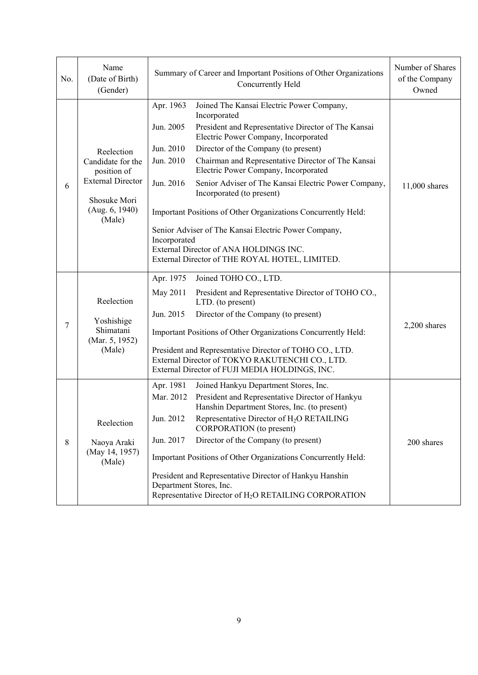| No. | Name<br>(Date of Birth)<br>(Gender)                                                                                    | Summary of Career and Important Positions of Other Organizations<br>Concurrently Held                                                                                                                                                                                                                                                                                                                                                                                                                                                                                                                                                                                                     | Number of Shares<br>of the Company<br>Owned |
|-----|------------------------------------------------------------------------------------------------------------------------|-------------------------------------------------------------------------------------------------------------------------------------------------------------------------------------------------------------------------------------------------------------------------------------------------------------------------------------------------------------------------------------------------------------------------------------------------------------------------------------------------------------------------------------------------------------------------------------------------------------------------------------------------------------------------------------------|---------------------------------------------|
| 6   | Reelection<br>Candidate for the<br>position of<br><b>External Director</b><br>Shosuke Mori<br>(Aug. 6, 1940)<br>(Male) | Apr. 1963<br>Joined The Kansai Electric Power Company,<br>Incorporated<br>Jun. 2005<br>President and Representative Director of The Kansai<br>Electric Power Company, Incorporated<br>Jun. 2010<br>Director of the Company (to present)<br>Chairman and Representative Director of The Kansai<br>Jun. 2010<br>Electric Power Company, Incorporated<br>Senior Adviser of The Kansai Electric Power Company,<br>Jun. 2016<br>Incorporated (to present)<br>Important Positions of Other Organizations Concurrently Held:<br>Senior Adviser of The Kansai Electric Power Company,<br>Incorporated<br>External Director of ANA HOLDINGS INC.<br>External Director of THE ROYAL HOTEL, LIMITED. | 11,000 shares                               |
| 7   | Reelection<br>Yoshishige<br>Shimatani<br>(Mar. 5, 1952)<br>(Male)                                                      | Apr. 1975<br>Joined TOHO CO., LTD.<br>May 2011<br>President and Representative Director of TOHO CO.,<br>LTD. (to present)<br>Jun. 2015<br>Director of the Company (to present)<br>Important Positions of Other Organizations Concurrently Held:<br>President and Representative Director of TOHO CO., LTD.<br>External Director of TOKYO RAKUTENCHI CO., LTD.<br>External Director of FUJI MEDIA HOLDINGS, INC.                                                                                                                                                                                                                                                                           | $2,200$ shares                              |
| 8   | Reelection<br>Naoya Araki<br>(May 14, 1957)<br>(Male)                                                                  | Apr. 1981<br>Joined Hankyu Department Stores, Inc.<br>Mar. 2012<br>President and Representative Director of Hankyu<br>Hanshin Department Stores, Inc. (to present)<br>Jun. 2012<br>Representative Director of H <sub>2</sub> O RETAILING<br>CORPORATION (to present)<br>Director of the Company (to present)<br>Jun. 2017<br>Important Positions of Other Organizations Concurrently Held:<br>President and Representative Director of Hankyu Hanshin<br>Department Stores, Inc.<br>Representative Director of H <sub>2</sub> O RETAILING CORPORATION                                                                                                                                     | 200 shares                                  |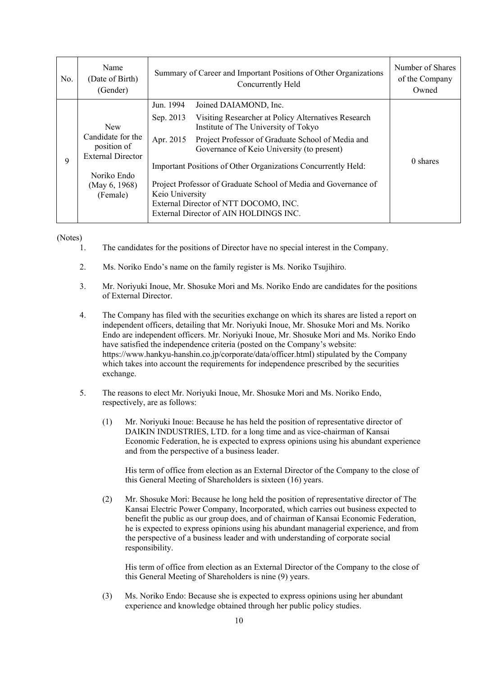| No. | Name<br>(Date of Birth)<br>(Gender)                          |                 | Summary of Career and Important Positions of Other Organizations<br>Concurrently Held                    | Number of Shares<br>of the Company<br>Owned |
|-----|--------------------------------------------------------------|-----------------|----------------------------------------------------------------------------------------------------------|---------------------------------------------|
|     |                                                              | Jun. 1994       | Joined DAIAMOND, Inc.                                                                                    |                                             |
| 9   | <b>New</b>                                                   | Sep. 2013       | Visiting Researcher at Policy Alternatives Research<br>Institute of The University of Tokyo              |                                             |
|     | Candidate for the<br>position of<br><b>External Director</b> | Apr. 2015       | Project Professor of Graduate School of Media and<br>Governance of Keio University (to present)          |                                             |
|     | Noriko Endo                                                  |                 | Important Positions of Other Organizations Concurrently Held:                                            | 0 shares                                    |
|     | (May 6, 1968)<br>(Female)                                    | Keio University | Project Professor of Graduate School of Media and Governance of<br>External Director of NTT DOCOMO, INC. |                                             |
|     |                                                              |                 |                                                                                                          |                                             |

(Notes)

- 1. The candidates for the positions of Director have no special interest in the Company.
- 2. Ms. Noriko Endo's name on the family register is Ms. Noriko Tsujihiro.
- 3. Mr. Noriyuki Inoue, Mr. Shosuke Mori and Ms. Noriko Endo are candidates for the positions of External Director.
- 4. The Company has filed with the securities exchange on which its shares are listed a report on independent officers, detailing that Mr. Noriyuki Inoue, Mr. Shosuke Mori and Ms. Noriko Endo are independent officers. Mr. Noriyuki Inoue, Mr. Shosuke Mori and Ms. Noriko Endo have satisfied the independence criteria (posted on the Company's website: https://www.hankyu-hanshin.co.jp/corporate/data/officer.html) stipulated by the Company which takes into account the requirements for independence prescribed by the securities exchange.
- 5. The reasons to elect Mr. Noriyuki Inoue, Mr. Shosuke Mori and Ms. Noriko Endo, respectively, are as follows:
	- (1) Mr. Noriyuki Inoue: Because he has held the position of representative director of DAIKIN INDUSTRIES, LTD. for a long time and as vice-chairman of Kansai Economic Federation, he is expected to express opinions using his abundant experience and from the perspective of a business leader.

 His term of office from election as an External Director of the Company to the close of this General Meeting of Shareholders is sixteen (16) years.

(2) Mr. Shosuke Mori: Because he long held the position of representative director of The Kansai Electric Power Company, Incorporated, which carries out business expected to benefit the public as our group does, and of chairman of Kansai Economic Federation, he is expected to express opinions using his abundant managerial experience, and from the perspective of a business leader and with understanding of corporate social responsibility.

His term of office from election as an External Director of the Company to the close of this General Meeting of Shareholders is nine (9) years.

(3) Ms. Noriko Endo: Because she is expected to express opinions using her abundant experience and knowledge obtained through her public policy studies.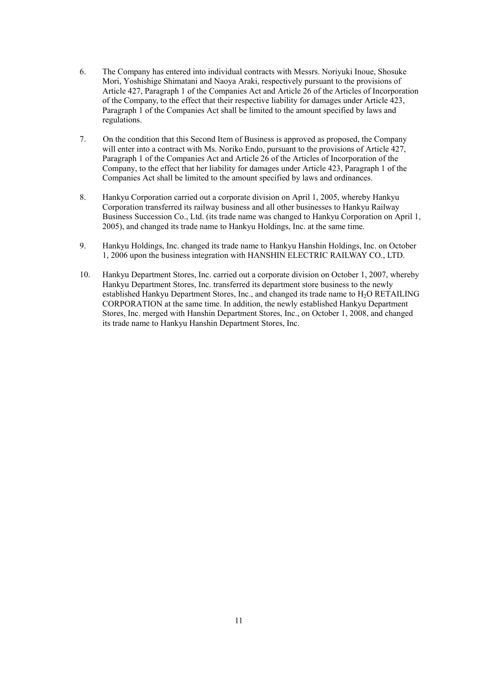- 6. The Company has entered into individual contracts with Messrs. Noriyuki Inoue, Shosuke Mori, Yoshishige Shimatani and Naoya Araki, respectively pursuant to the provisions of Article 427, Paragraph 1 of the Companies Act and Article 26 of the Articles of Incorporation of the Company, to the effect that their respective liability for damages under Article 423, Paragraph 1 of the Companies Act shall be limited to the amount specified by laws and regulations.
- 7. On the condition that this Second Item of Business is approved as proposed, the Company will enter into a contract with Ms. Noriko Endo, pursuant to the provisions of Article 427. Paragraph 1 of the Companies Act and Article 26 of the Articles of Incorporation of the Company, to the effect that her liability for damages under Article 423, Paragraph 1 of the Companies Act shall be limited to the amount specified by laws and ordinances.
- 8. Hankyu Corporation carried out a corporate division on April 1, 2005, whereby Hankyu Corporation transferred its railway business and all other businesses to Hankyu Railway Business Succession Co., Ltd. (its trade name was changed to Hankyu Corporation on April 1, 2005), and changed its trade name to Hankyu Holdings, Inc. at the same time.
- 9. Hankyu Holdings, Inc. changed its trade name to Hankyu Hanshin Holdings, Inc. on October 1, 2006 upon the business integration with HANSHIN ELECTRIC RAILWAY CO., LTD.
- 10. Hankyu Department Stores, Inc. carried out a corporate division on October 1, 2007, whereby Hankyu Department Stores, Inc. transferred its department store business to the newly established Hankyu Department Stores, Inc., and changed its trade name to H<sub>2</sub>O RETAILING CORPORATION at the same time. In addition, the newly established Hankyu Department Stores, Inc. merged with Hanshin Department Stores, Inc., on October 1, 2008, and changed its trade name to Hankyu Hanshin Department Stores, Inc.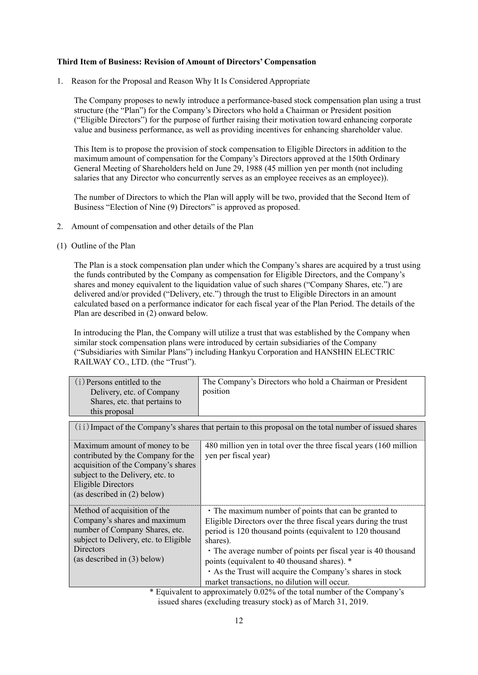## **Third Item of Business: Revision of Amount of Directors' Compensation**

1. Reason for the Proposal and Reason Why It Is Considered Appropriate

The Company proposes to newly introduce a performance-based stock compensation plan using a trust structure (the "Plan") for the Company's Directors who hold a Chairman or President position ("Eligible Directors") for the purpose of further raising their motivation toward enhancing corporate value and business performance, as well as providing incentives for enhancing shareholder value.

This Item is to propose the provision of stock compensation to Eligible Directors in addition to the maximum amount of compensation for the Company's Directors approved at the 150th Ordinary General Meeting of Shareholders held on June 29, 1988 (45 million yen per month (not including salaries that any Director who concurrently serves as an employee receives as an employee)).

The number of Directors to which the Plan will apply will be two, provided that the Second Item of Business "Election of Nine (9) Directors" is approved as proposed.

- 2. Amount of compensation and other details of the Plan
- (1) Outline of the Plan

The Plan is a stock compensation plan under which the Company's shares are acquired by a trust using the funds contributed by the Company as compensation for Eligible Directors, and the Company's shares and money equivalent to the liquidation value of such shares ("Company Shares, etc.") are delivered and/or provided ("Delivery, etc.") through the trust to Eligible Directors in an amount calculated based on a performance indicator for each fiscal year of the Plan Period. The details of the Plan are described in (2) onward below.

In introducing the Plan, the Company will utilize a trust that was established by the Company when similar stock compensation plans were introduced by certain subsidiaries of the Company ("Subsidiaries with Similar Plans") including Hankyu Corporation and HANSHIN ELECTRIC RAILWAY CO., LTD. (the "Trust").

| (i) Persons entitled to the<br>Delivery, etc. of Company<br>Shares, etc. that pertains to<br>this proposal                                                                                                    | The Company's Directors who hold a Chairman or President<br>position                                                                                                                                                                                                                                                                                                                                                          |  |
|---------------------------------------------------------------------------------------------------------------------------------------------------------------------------------------------------------------|-------------------------------------------------------------------------------------------------------------------------------------------------------------------------------------------------------------------------------------------------------------------------------------------------------------------------------------------------------------------------------------------------------------------------------|--|
| (ii) Impact of the Company's shares that pertain to this proposal on the total number of issued shares                                                                                                        |                                                                                                                                                                                                                                                                                                                                                                                                                               |  |
| Maximum amount of money to be.<br>contributed by the Company for the<br>acquisition of the Company's shares<br>subject to the Delivery, etc. to<br><b>Eligible Directors</b><br>(as described in $(2)$ below) | 480 million yen in total over the three fiscal years (160 million)<br>yen per fiscal year)                                                                                                                                                                                                                                                                                                                                    |  |
| Method of acquisition of the<br>Company's shares and maximum<br>number of Company Shares, etc.<br>subject to Delivery, etc. to Eligible<br><b>Directors</b><br>(as described in $(3)$ below)                  | • The maximum number of points that can be granted to<br>Eligible Directors over the three fiscal years during the trust<br>period is 120 thousand points (equivalent to 120 thousand<br>shares).<br>• The average number of points per fiscal year is 40 thousand<br>points (equivalent to 40 thousand shares). *<br>As the Trust will acquire the Company's shares in stock<br>market transactions, no dilution will occur. |  |

 \* Equivalent to approximately 0.02% of the total number of the Company's issued shares (excluding treasury stock) as of March 31, 2019.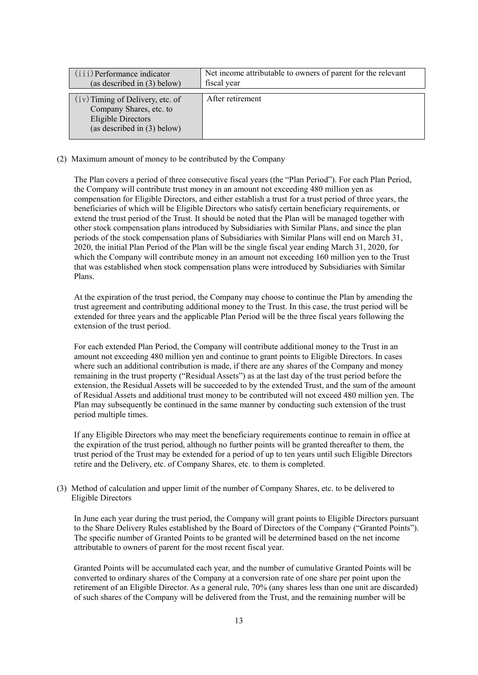| (iii) Performance indicator<br>(as described in $(3)$ below)                                                         | Net income attributable to owners of parent for the relevant<br>fiscal year |
|----------------------------------------------------------------------------------------------------------------------|-----------------------------------------------------------------------------|
| $(iv)$ Timing of Delivery, etc. of<br>Company Shares, etc. to<br>Eligible Directors<br>(as described in $(3)$ below) | After retirement                                                            |

#### (2) Maximum amount of money to be contributed by the Company

The Plan covers a period of three consecutive fiscal years (the "Plan Period"). For each Plan Period, the Company will contribute trust money in an amount not exceeding 480 million yen as compensation for Eligible Directors, and either establish a trust for a trust period of three years, the beneficiaries of which will be Eligible Directors who satisfy certain beneficiary requirements, or extend the trust period of the Trust. It should be noted that the Plan will be managed together with other stock compensation plans introduced by Subsidiaries with Similar Plans, and since the plan periods of the stock compensation plans of Subsidiaries with Similar Plans will end on March 31, 2020, the initial Plan Period of the Plan will be the single fiscal year ending March 31, 2020, for which the Company will contribute money in an amount not exceeding 160 million yen to the Trust that was established when stock compensation plans were introduced by Subsidiaries with Similar Plans.

At the expiration of the trust period, the Company may choose to continue the Plan by amending the trust agreement and contributing additional money to the Trust. In this case, the trust period will be extended for three years and the applicable Plan Period will be the three fiscal years following the extension of the trust period.

For each extended Plan Period, the Company will contribute additional money to the Trust in an amount not exceeding 480 million yen and continue to grant points to Eligible Directors. In cases where such an additional contribution is made, if there are any shares of the Company and money remaining in the trust property ("Residual Assets") as at the last day of the trust period before the extension, the Residual Assets will be succeeded to by the extended Trust, and the sum of the amount of Residual Assets and additional trust money to be contributed will not exceed 480 million yen. The Plan may subsequently be continued in the same manner by conducting such extension of the trust period multiple times.

If any Eligible Directors who may meet the beneficiary requirements continue to remain in office at the expiration of the trust period, although no further points will be granted thereafter to them, the trust period of the Trust may be extended for a period of up to ten years until such Eligible Directors retire and the Delivery, etc. of Company Shares, etc. to them is completed.

## (3) Method of calculation and upper limit of the number of Company Shares, etc. to be delivered to Eligible Directors

In June each year during the trust period, the Company will grant points to Eligible Directors pursuant to the Share Delivery Rules established by the Board of Directors of the Company ("Granted Points"). The specific number of Granted Points to be granted will be determined based on the net income attributable to owners of parent for the most recent fiscal year.

Granted Points will be accumulated each year, and the number of cumulative Granted Points will be converted to ordinary shares of the Company at a conversion rate of one share per point upon the retirement of an Eligible Director. As a general rule, 70% (any shares less than one unit are discarded) of such shares of the Company will be delivered from the Trust, and the remaining number will be